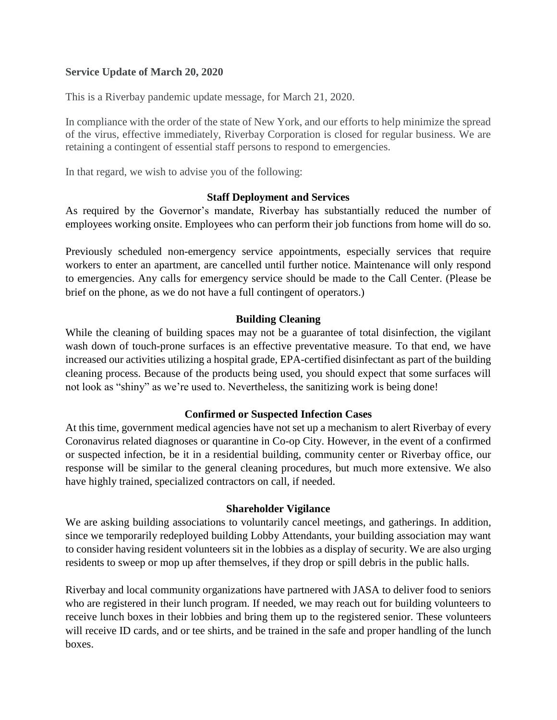# **Service Update of March 20, 2020**

This is a Riverbay pandemic update message, for March 21, 2020.

In compliance with the order of the state of New York, and our efforts to help minimize the spread of the virus, effective immediately, Riverbay Corporation is closed for regular business. We are retaining a contingent of essential staff persons to respond to emergencies.

In that regard, we wish to advise you of the following:

#### **Staff Deployment and Services**

As required by the Governor's mandate, Riverbay has substantially reduced the number of employees working onsite. Employees who can perform their job functions from home will do so.

Previously scheduled non-emergency service appointments, especially services that require workers to enter an apartment, are cancelled until further notice. Maintenance will only respond to emergencies. Any calls for emergency service should be made to the Call Center. (Please be brief on the phone, as we do not have a full contingent of operators.)

### **Building Cleaning**

While the cleaning of building spaces may not be a guarantee of total disinfection, the vigilant wash down of touch-prone surfaces is an effective preventative measure. To that end, we have increased our activities utilizing a hospital grade, EPA-certified disinfectant as part of the building cleaning process. Because of the products being used, you should expect that some surfaces will not look as "shiny" as we're used to. Nevertheless, the sanitizing work is being done!

### **Confirmed or Suspected Infection Cases**

At this time, government medical agencies have not set up a mechanism to alert Riverbay of every Coronavirus related diagnoses or quarantine in Co-op City. However, in the event of a confirmed or suspected infection, be it in a residential building, community center or Riverbay office, our response will be similar to the general cleaning procedures, but much more extensive. We also have highly trained, specialized contractors on call, if needed.

### **Shareholder Vigilance**

We are asking building associations to voluntarily cancel meetings, and gatherings. In addition, since we temporarily redeployed building Lobby Attendants, your building association may want to consider having resident volunteers sit in the lobbies as a display of security. We are also urging residents to sweep or mop up after themselves, if they drop or spill debris in the public halls.

Riverbay and local community organizations have partnered with JASA to deliver food to seniors who are registered in their lunch program. If needed, we may reach out for building volunteers to receive lunch boxes in their lobbies and bring them up to the registered senior. These volunteers will receive ID cards, and or tee shirts, and be trained in the safe and proper handling of the lunch boxes.